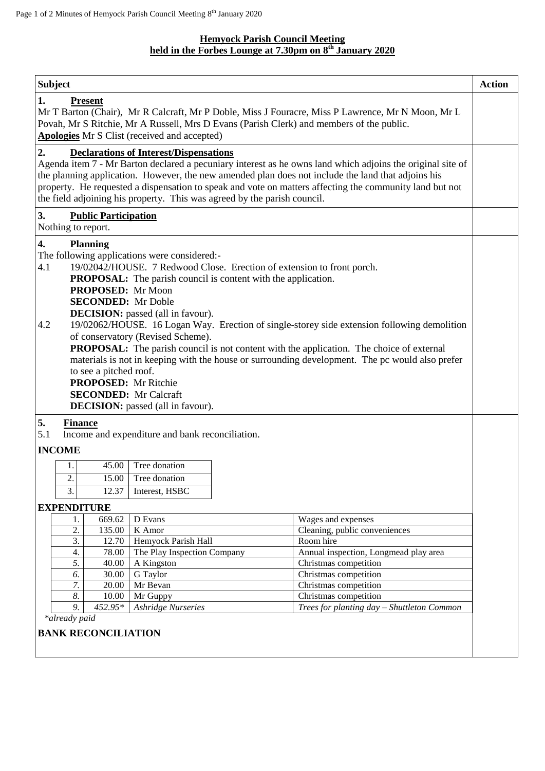## **Hemyock Parish Council Meeting held in the Forbes Lounge at 7.30pm on 8 th January 2020**

| <b>Subject</b>                                                                                                                                                                                                                                                                                                                                                                                                                                                                                                                                                                                                                                                                                                                                                                                                     |                                                                                   |        |                             |  |                                       |  |  |  |
|--------------------------------------------------------------------------------------------------------------------------------------------------------------------------------------------------------------------------------------------------------------------------------------------------------------------------------------------------------------------------------------------------------------------------------------------------------------------------------------------------------------------------------------------------------------------------------------------------------------------------------------------------------------------------------------------------------------------------------------------------------------------------------------------------------------------|-----------------------------------------------------------------------------------|--------|-----------------------------|--|---------------------------------------|--|--|--|
| 1.<br><b>Present</b><br>Mr T Barton (Chair), Mr R Calcraft, Mr P Doble, Miss J Fouracre, Miss P Lawrence, Mr N Moon, Mr L<br>Povah, Mr S Ritchie, Mr A Russell, Mrs D Evans (Parish Clerk) and members of the public.<br>Apologies Mr S Clist (received and accepted)                                                                                                                                                                                                                                                                                                                                                                                                                                                                                                                                              |                                                                                   |        |                             |  |                                       |  |  |  |
| 2.<br><b>Declarations of Interest/Dispensations</b><br>Agenda item 7 - Mr Barton declared a pecuniary interest as he owns land which adjoins the original site of<br>the planning application. However, the new amended plan does not include the land that adjoins his<br>property. He requested a dispensation to speak and vote on matters affecting the community land but not<br>the field adjoining his property. This was agreed by the parish council.                                                                                                                                                                                                                                                                                                                                                     |                                                                                   |        |                             |  |                                       |  |  |  |
| 3.<br><b>Public Participation</b><br>Nothing to report.                                                                                                                                                                                                                                                                                                                                                                                                                                                                                                                                                                                                                                                                                                                                                            |                                                                                   |        |                             |  |                                       |  |  |  |
| 4.<br><b>Planning</b><br>The following applications were considered:-<br>19/02042/HOUSE. 7 Redwood Close. Erection of extension to front porch.<br>4.1<br><b>PROPOSAL:</b> The parish council is content with the application.<br>PROPOSED: Mr Moon<br><b>SECONDED:</b> Mr Doble<br><b>DECISION:</b> passed (all in favour).<br>19/02062/HOUSE. 16 Logan Way. Erection of single-storey side extension following demolition<br>4.2<br>of conservatory (Revised Scheme).<br><b>PROPOSAL:</b> The parish council is not content with the application. The choice of external<br>materials is not in keeping with the house or surrounding development. The pc would also prefer<br>to see a pitched roof.<br><b>PROPOSED:</b> Mr Ritchie<br><b>SECONDED:</b> Mr Calcraft<br><b>DECISION:</b> passed (all in favour). |                                                                                   |        |                             |  |                                       |  |  |  |
| 5.<br><b>Finance</b><br>5.1<br>Income and expenditure and bank reconciliation.                                                                                                                                                                                                                                                                                                                                                                                                                                                                                                                                                                                                                                                                                                                                     |                                                                                   |        |                             |  |                                       |  |  |  |
|                                                                                                                                                                                                                                                                                                                                                                                                                                                                                                                                                                                                                                                                                                                                                                                                                    | <b>INCOME</b>                                                                     |        |                             |  |                                       |  |  |  |
|                                                                                                                                                                                                                                                                                                                                                                                                                                                                                                                                                                                                                                                                                                                                                                                                                    | 1.                                                                                | 45.00  | Tree donation               |  |                                       |  |  |  |
|                                                                                                                                                                                                                                                                                                                                                                                                                                                                                                                                                                                                                                                                                                                                                                                                                    | $\overline{2}$                                                                    | 15.00  | Tree donation               |  |                                       |  |  |  |
|                                                                                                                                                                                                                                                                                                                                                                                                                                                                                                                                                                                                                                                                                                                                                                                                                    | 3.                                                                                | 12.37  | Interest, HSBC              |  |                                       |  |  |  |
| <b>EXPENDITURE</b>                                                                                                                                                                                                                                                                                                                                                                                                                                                                                                                                                                                                                                                                                                                                                                                                 |                                                                                   |        |                             |  |                                       |  |  |  |
|                                                                                                                                                                                                                                                                                                                                                                                                                                                                                                                                                                                                                                                                                                                                                                                                                    | 1.                                                                                | 669.62 | D Evans                     |  | Wages and expenses                    |  |  |  |
|                                                                                                                                                                                                                                                                                                                                                                                                                                                                                                                                                                                                                                                                                                                                                                                                                    | 2.                                                                                | 135.00 | K Amor                      |  | Cleaning, public conveniences         |  |  |  |
|                                                                                                                                                                                                                                                                                                                                                                                                                                                                                                                                                                                                                                                                                                                                                                                                                    | 3.                                                                                | 12.70  | Hemyock Parish Hall         |  | Room hire                             |  |  |  |
|                                                                                                                                                                                                                                                                                                                                                                                                                                                                                                                                                                                                                                                                                                                                                                                                                    | 4.                                                                                | 78.00  | The Play Inspection Company |  | Annual inspection, Longmead play area |  |  |  |
|                                                                                                                                                                                                                                                                                                                                                                                                                                                                                                                                                                                                                                                                                                                                                                                                                    | 5.                                                                                | 40.00  | A Kingston                  |  | Christmas competition                 |  |  |  |
|                                                                                                                                                                                                                                                                                                                                                                                                                                                                                                                                                                                                                                                                                                                                                                                                                    | 6.                                                                                | 30.00  | G Taylor                    |  | Christmas competition                 |  |  |  |
|                                                                                                                                                                                                                                                                                                                                                                                                                                                                                                                                                                                                                                                                                                                                                                                                                    | 7.                                                                                | 20.00  | Mr Bevan                    |  | Christmas competition                 |  |  |  |
|                                                                                                                                                                                                                                                                                                                                                                                                                                                                                                                                                                                                                                                                                                                                                                                                                    | 8.<br>10.00<br>Mr Guppy                                                           |        |                             |  | Christmas competition                 |  |  |  |
|                                                                                                                                                                                                                                                                                                                                                                                                                                                                                                                                                                                                                                                                                                                                                                                                                    | 9.<br>452.95*<br>Ashridge Nurseries<br>Trees for planting day - Shuttleton Common |        |                             |  |                                       |  |  |  |
| *already paid                                                                                                                                                                                                                                                                                                                                                                                                                                                                                                                                                                                                                                                                                                                                                                                                      |                                                                                   |        |                             |  |                                       |  |  |  |
| <b>BANK RECONCILIATION</b>                                                                                                                                                                                                                                                                                                                                                                                                                                                                                                                                                                                                                                                                                                                                                                                         |                                                                                   |        |                             |  |                                       |  |  |  |
|                                                                                                                                                                                                                                                                                                                                                                                                                                                                                                                                                                                                                                                                                                                                                                                                                    |                                                                                   |        |                             |  |                                       |  |  |  |